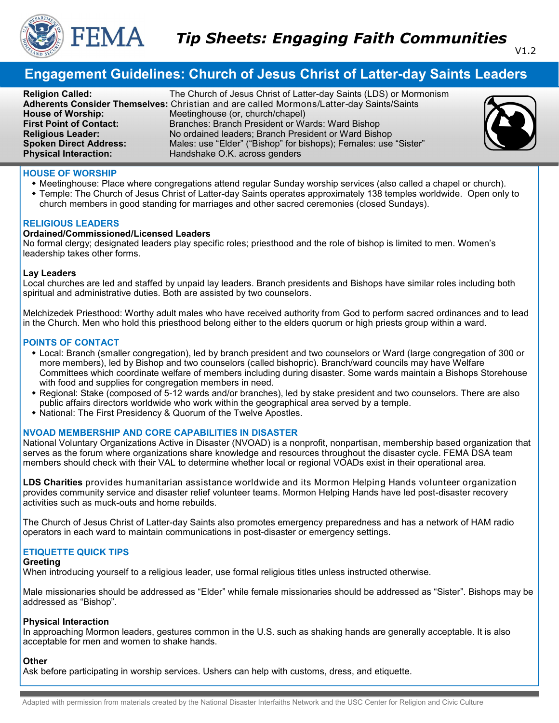

# **Engagement Guidelines: Church of Jesus Christ of Latter-day Saints Leaders**

**Religion Called:** The Church of Jesus Christ of Latter-day Saints (LDS) or Mormonism **Adherents Consider Themselves:** Christian and are called Mormons/Latter-day Saints/Saints Meetinghouse (or, church/chapel) **First Point of Contact:** Branches: Branch President or Wards: Ward Bishop **Religious Leader:** No ordained leaders; Branch President or Ward Bishop No ordained leaders; Branch President or Ward Bishop **Spoken Direct Address:** Males: use "Elder" ("Bishop" for bishops); Females: use "Sister"<br> **Physical Interaction:** Handshake O.K. across genders Handshake O.K. across genders



## **HOUSE OF WORSHIP**

- Meetinghouse: Place where congregations attend regular Sunday worship services (also called a chapel or church).
- Temple: The Church of Jesus Christ of Latter-day Saints operates approximately 138 temples worldwide. Open only to church members in good standing for marriages and other sacred ceremonies (closed Sundays).

## **RELIGIOUS LEADERS**

## **Ordained/Commissioned/Licensed Leaders**

No formal clergy; designated leaders play specific roles; priesthood and the role of bishop is limited to men. Women's leadership takes other forms.

#### **Lay Leaders**

Local churches are led and staffed by unpaid lay leaders. Branch presidents and Bishops have similar roles including both spiritual and administrative duties. Both are assisted by two counselors.

Melchizedek Priesthood: Worthy adult males who have received authority from God to perform sacred ordinances and to lead in the Church. Men who hold this priesthood belong either to the elders quorum or high priests group within a ward.

#### **POINTS OF CONTACT**

- Local: Branch (smaller congregation), led by branch president and two counselors or Ward (large congregation of 300 or more members), led by Bishop and two counselors (called bishopric). Branch/ward councils may have Welfare Committees which coordinate welfare of members including during disaster. Some wards maintain a Bishops Storehouse with food and supplies for congregation members in need.
- Regional: Stake (composed of 5-12 wards and/or branches), led by stake president and two counselors. There are also public affairs directors worldwide who work within the geographical area served by a temple.
- National: The First Presidency & Quorum of the Twelve Apostles.

## **NVOAD MEMBERSHIP AND CORE CAPABILITIES IN DISASTER**

National Voluntary Organizations Active in Disaster (NVOAD) is a nonprofit, nonpartisan, membership based organization that serves as the forum where organizations share knowledge and resources throughout the disaster cycle. FEMA DSA team members should check with their VAL to determine whether local or regional VOADs exist in their operational area.

**LDS Charities** provides humanitarian assistance worldwide and its Mormon Helping Hands volunteer organization provides community service and disaster relief volunteer teams. Mormon Helping Hands have led post-disaster recovery activities such as muck-outs and home rebuilds.

The Church of Jesus Christ of Latter-day Saints also promotes emergency preparedness and has a network of HAM radio operators in each ward to maintain communications in post-disaster or emergency settings.

## **ETIQUETTE QUICK TIPS**

#### **Greeting**

When introducing yourself to a religious leader, use formal religious titles unless instructed otherwise.

Male missionaries should be addressed as "Elder" while female missionaries should be addressed as "Sister". Bishops may be addressed as "Bishop".

#### **Physical Interaction**

In approaching Mormon leaders, gestures common in the U.S. such as shaking hands are generally acceptable. It is also acceptable for men and women to shake hands.

## **Other**

Ask before participating in worship services. Ushers can help with customs, dress, and etiquette.